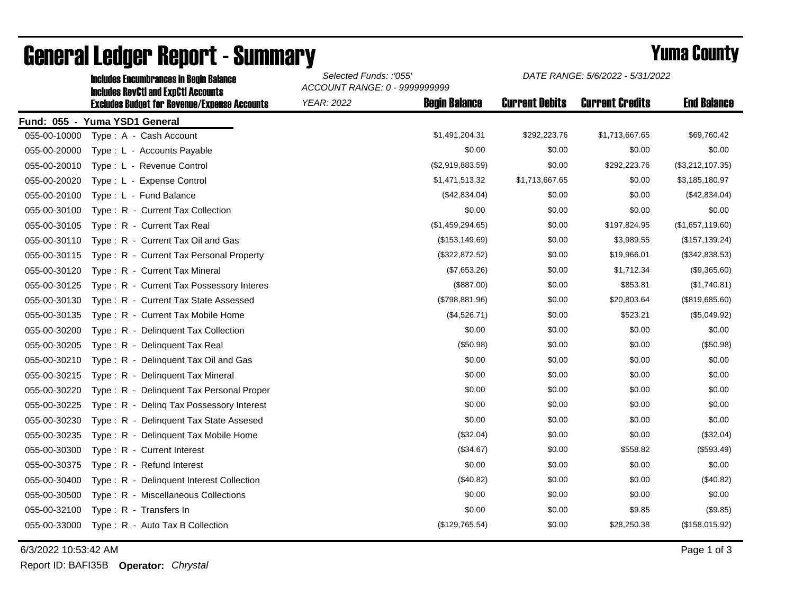|              | <b>Includes RevCtI and ExpCtI Accounts</b>          | ACCOUNT RANGE: 0 - 9999999999 |                      |                       |                        |                    |  |
|--------------|-----------------------------------------------------|-------------------------------|----------------------|-----------------------|------------------------|--------------------|--|
|              | <b>Excludes Budget for Revenue/Expense Accounts</b> | <b>YEAR: 2022</b>             | <b>Begin Balance</b> | <b>Current Debits</b> | <b>Current Credits</b> | <b>End Balance</b> |  |
|              | Fund: 055 - Yuma YSD1 General                       |                               |                      |                       |                        |                    |  |
| 055-00-10000 | Type: A - Cash Account                              |                               | \$1,491,204.31       | \$292,223.76          | \$1,713,667.65         | \$69,760.42        |  |
| 055-00-20000 | Type: L - Accounts Payable                          |                               | \$0.00               | \$0.00                | \$0.00                 | \$0.00             |  |
| 055-00-20010 | Type: L - Revenue Control                           |                               | (\$2,919,883.59)     | \$0.00                | \$292,223.76           | (\$3,212,107.35)   |  |
| 055-00-20020 | Type: L - Expense Control                           |                               | \$1,471,513.32       | \$1,713,667.65        | \$0.00                 | \$3,185,180.97     |  |
| 055-00-20100 | Type: L - Fund Balance                              |                               | (\$42,834.04)        | \$0.00                | \$0.00                 | (\$42,834.04)      |  |
| 055-00-30100 | Type: R - Current Tax Collection                    |                               | \$0.00               | \$0.00                | \$0.00                 | \$0.00             |  |
| 055-00-30105 | Type: R - Current Tax Real                          |                               | (\$1,459,294.65)     | \$0.00                | \$197,824.95           | (\$1,657,119.60)   |  |
| 055-00-30110 | Type: R - Current Tax Oil and Gas                   |                               | (\$153, 149.69)      | \$0.00                | \$3,989.55             | (\$157, 139.24)    |  |
| 055-00-30115 | Type: R - Current Tax Personal Property             |                               | (\$322,872.52)       | \$0.00                | \$19,966.01            | (\$342,838.53)     |  |
| 055-00-30120 | Type: R - Current Tax Mineral                       |                               | (\$7,653.26)         | \$0.00                | \$1,712.34             | (\$9,365.60)       |  |
| 055-00-30125 | Type: R - Current Tax Possessory Interes            |                               | (\$887.00)           | \$0.00                | \$853.81               | (\$1,740.81)       |  |
| 055-00-30130 | Type: R - Current Tax State Assessed                |                               | (\$798,881.96)       | \$0.00                | \$20,803.64            | (\$819,685.60)     |  |
| 055-00-30135 | Type: R - Current Tax Mobile Home                   |                               | (\$4,526.71)         | \$0.00                | \$523.21               | (\$5,049.92)       |  |
| 055-00-30200 | Type: R - Delinquent Tax Collection                 |                               | \$0.00               | \$0.00                | \$0.00                 | \$0.00             |  |
| 055-00-30205 | Type: R - Delinguent Tax Real                       |                               | (\$50.98)            | \$0.00                | \$0.00                 | (\$50.98)          |  |
| 055-00-30210 | Type: R - Delinguent Tax Oil and Gas                |                               | \$0.00               | \$0.00                | \$0.00                 | \$0.00             |  |
| 055-00-30215 | Type: R - Delinquent Tax Mineral                    |                               | \$0.00               | \$0.00                | \$0.00                 | \$0.00             |  |
| 055-00-30220 | Type: R - Delinquent Tax Personal Proper            |                               | \$0.00               | \$0.00                | \$0.00                 | \$0.00             |  |
| 055-00-30225 | $T$ vpe : $R -$<br>Deling Tax Possessory Interest   |                               | \$0.00               | \$0.00                | \$0.00                 | \$0.00             |  |
| 055-00-30230 | Type: R - Delinquent Tax State Assesed              |                               | \$0.00               | \$0.00                | \$0.00                 | \$0.00             |  |
| 055-00-30235 | Delinquent Tax Mobile Home<br>Type: $R -$           |                               | (\$32.04)            | \$0.00                | \$0.00                 | (\$32.04)          |  |
| 055-00-30300 | Type: R - Current Interest                          |                               | (\$34.67)            | \$0.00                | \$558.82               | (\$593.49)         |  |
| 055-00-30375 | Type: R - Refund Interest                           |                               | \$0.00               | \$0.00                | \$0.00                 | \$0.00             |  |
| 055-00-30400 | Type: R - Delinquent Interest Collection            |                               | (\$40.82)            | \$0.00                | \$0.00                 | (\$40.82)          |  |
| 055-00-30500 | Type: R - Miscellaneous Collections                 |                               | \$0.00               | \$0.00                | \$0.00                 | \$0.00             |  |
| 055-00-32100 | Type: R - Transfers In                              |                               | \$0.00               | \$0.00                | \$9.85                 | (\$9.85)           |  |
| 055-00-33000 | Type: R - Auto Tax B Collection                     |                               | (\$129,765.54)       | \$0.00                | \$28,250.38            | (\$158,015.92)     |  |

## General Ledger Report - Summary **Example 2018** Yuma County

Includes Encumbrances in Begin Balance *Selected Funds: :'055'*

6/3/2022 10:53:42 AM Page 1 of 3

Report ID: BAFI35B **Operator:** *Chrystal*

*DATE RANGE: 5/6/2022 - 5/31/2022*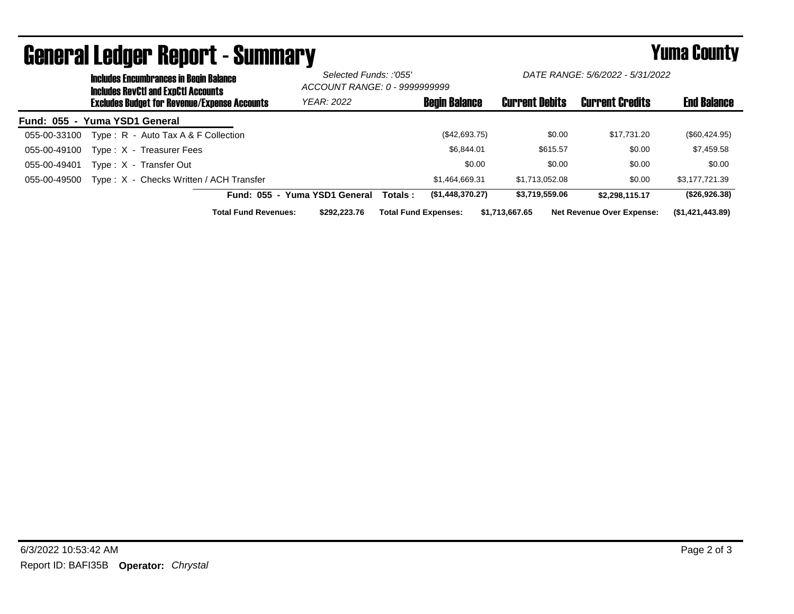|                               | <b>Includes Encumbrances in Begin Balance</b><br><b>Includes RevCtI and ExpCtI Accounts</b><br><b>Excludes Budget for Revenue/Expense Accounts</b> | Selected Funds: :'055'<br>ACCOUNT RANGE: 0 - 9999999999 |                             | DATE RANGE: 5/6/2022 - 5/31/2022 |                       |                                  |                    |
|-------------------------------|----------------------------------------------------------------------------------------------------------------------------------------------------|---------------------------------------------------------|-----------------------------|----------------------------------|-----------------------|----------------------------------|--------------------|
|                               |                                                                                                                                                    | <b>YEAR: 2022</b>                                       |                             | <b>Begin Balance</b>             | <b>Current Debits</b> | <b>Current Credits</b>           | <b>End Balance</b> |
| Fund: 055 - Yuma YSD1 General |                                                                                                                                                    |                                                         |                             |                                  |                       |                                  |                    |
| 055-00-33100                  | Type: R - Auto Tax A & F Collection                                                                                                                |                                                         |                             | (\$42,693.75)                    | \$0.00                | \$17.731.20                      | $(\$60,424.95)$    |
| 055-00-49100                  | Type: X - Treasurer Fees                                                                                                                           |                                                         |                             | \$6.844.01                       | \$615.57              | \$0.00                           | \$7,459.58         |
| 055-00-49401                  | Type: X - Transfer Out                                                                                                                             |                                                         |                             | \$0.00                           | \$0.00                | \$0.00                           | \$0.00             |
| 055-00-49500                  | Type: X - Checks Written / ACH Transfer                                                                                                            |                                                         |                             | \$1.464.669.31                   | \$1.713.052.08        | \$0.00                           | \$3.177.721.39     |
|                               |                                                                                                                                                    | Fund: 055 - Yuma YSD1 General                           | Totals :                    | (\$1,448,370.27)                 | \$3,719,559.06        | \$2.298.115.17                   | (\$26,926.38)      |
|                               | <b>Total Fund Revenues:</b>                                                                                                                        | \$292,223,76                                            | <b>Total Fund Expenses:</b> |                                  | \$1,713,667.65        | <b>Net Revenue Over Expense:</b> | (\$1,421,443.89)   |

## General Ledger Report - Summary **Example 2018** Yuma County